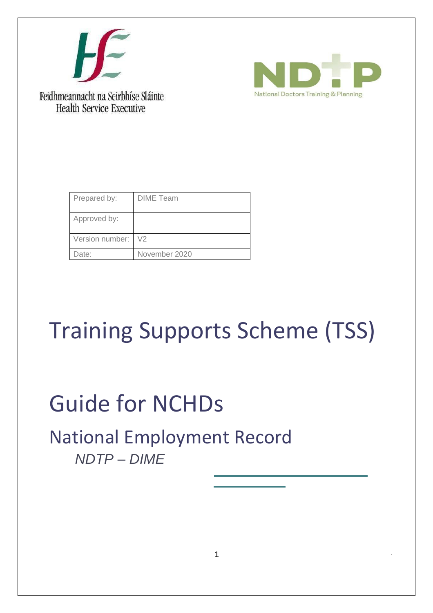



Feidhmeannacht na Seirbhíse Sláinte **Health Service Executive** 

| Prepared by:    | <b>DIME</b> Team |
|-----------------|------------------|
| Approved by:    |                  |
| Version number: | $\sqrt{2}$       |
| Date:           | November 2020    |

# Training Supports Scheme (TSS)

# Guide for NCHDs

# National Employment Record *NDTP – DIME*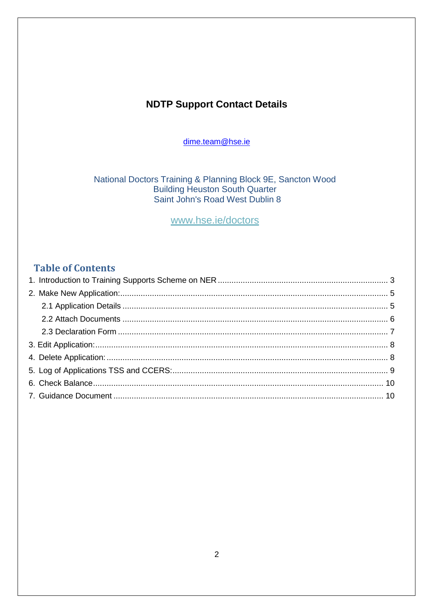# **NDTP Support Contact Details**

dime.team@hse.ie

National Doctors Training & Planning Block 9E, Sancton Wood **Building Heuston South Quarter<br>Saint John's Road West Dublin 8** 

www.hse.ie/doctors

# **Table of Contents**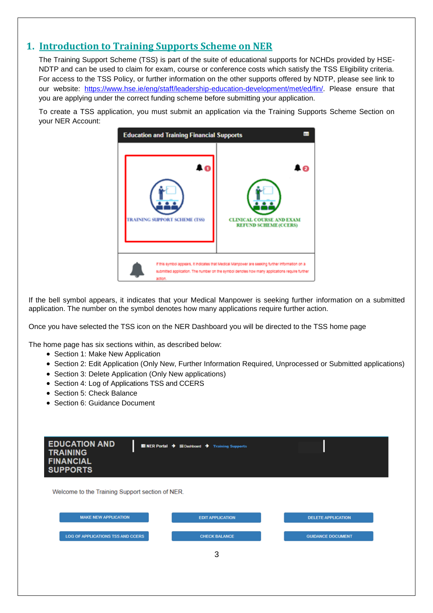### <span id="page-2-0"></span>**1. Introduction to Training Supports Scheme on NER**

The Training Support Scheme (TSS) is part of the suite of educational supports for NCHDs provided by HSE-NDTP and can be used to claim for exam, course or conference costs which satisfy the TSS Eligibility criteria. For access to the TSS Policy, or further information on the other supports offered by NDTP, please see link to our website: [https://www.hse.ie/eng/staff/leadership-education-development/met/ed/fin/.](https://www.hse.ie/eng/staff/leadership-education-development/met/ed/fin/) Please ensure that you are applying under the correct funding scheme before submitting your application.

To create a TSS application, you must submit an application via the Training Supports Scheme Section on your NER Account:



If the bell symbol appears, it indicates that your Medical Manpower is seeking further information on a submitted application. The number on the symbol denotes how many applications require further action.

Once you have selected the TSS icon on the NER Dashboard you will be directed to the TSS home page

The home page has six sections within, as described below:

- Section 1: Make New Application
- Section 2: Edit Application (Only New, Further Information Required, Unprocessed or Submitted applications)
- Section 3: Delete Application (Only New applications)
- Section 4: Log of Applications TSS and CCERS
- Section 5: Check Balance
- Section 6: Guidance Document

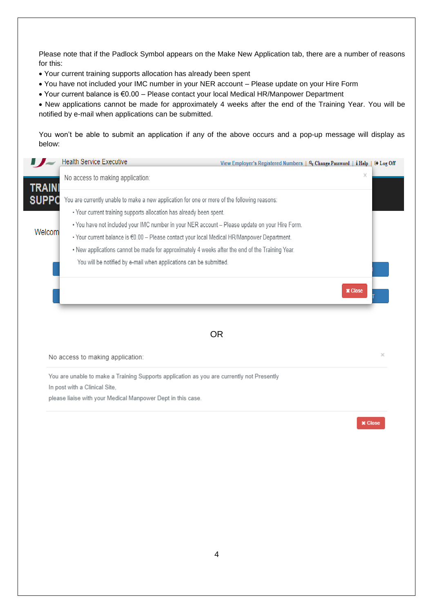Please note that if the Padlock Symbol appears on the Make New Application tab, there are a number of reasons for this:

- Your current training supports allocation has already been spent
- You have not included your IMC number in your NER account Please update on your Hire Form
- Your current balance is €0.00 Please contact your local Medical HR/Manpower Department

 New applications cannot be made for approximately 4 weeks after the end of the Training Year. You will be notified by e-mail when applications can be submitted.

You won't be able to submit an application if any of the above occurs and a pop-up message will display as below:

|               | <b>Health Service Executive</b>                                                                                                                                                                                                                                                                  | View Employer's Registered Numbers $\vert \phi$ Change Password $\vert$ i Help $\vert \phi$ Log Off |                |  |
|---------------|--------------------------------------------------------------------------------------------------------------------------------------------------------------------------------------------------------------------------------------------------------------------------------------------------|-----------------------------------------------------------------------------------------------------|----------------|--|
| <b>TRAINI</b> | No access to making application:                                                                                                                                                                                                                                                                 |                                                                                                     | ×              |  |
| <b>SUPPC</b>  | You are currently unable to make a new application for one or more of the following reasons:<br>. Your current training supports allocation has already been spent.                                                                                                                              |                                                                                                     |                |  |
| Welcom        | . You have not included your IMC number in your NER account - Please update on your Hire Form.<br>• Your current balance is €0.00 - Please contact your local Medical HR/Manpower Department.<br>. New applications cannot be made for approximately 4 weeks after the end of the Training Year. |                                                                                                     |                |  |
|               | You will be notified by e-mail when applications can be submitted.                                                                                                                                                                                                                               |                                                                                                     |                |  |
|               |                                                                                                                                                                                                                                                                                                  |                                                                                                     | <b>x</b> Close |  |
|               | <b>OR</b>                                                                                                                                                                                                                                                                                        |                                                                                                     |                |  |

No access to making application:

You are unable to make a Training Supports application as you are currently not Presently In post with a Clinical Site,

please liaise with your Medical Manpower Dept in this case.

**x** Close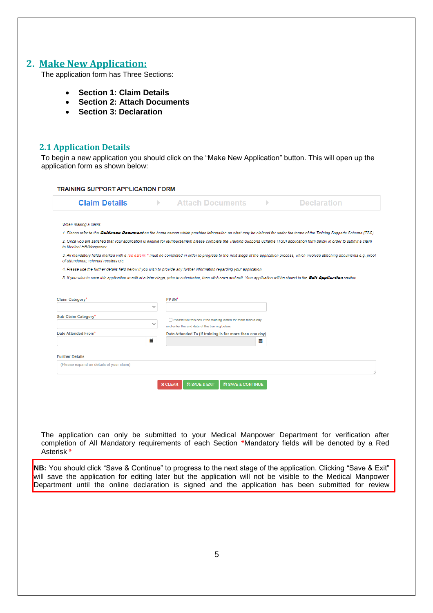#### <span id="page-4-0"></span>**2. Make New Application:**

The application form has Three Sections:

- **Section 1: Claim Details**
- **Section 2: Attach Documents**
- **Section 3: Declaration**

#### <span id="page-4-1"></span>**2.1 Application Details**

To begin a new application you should click on the "Make New Application" button. This will open up the application form as shown below:

| <b>Claim Details</b>                                               | Þ.           | <b>Attach Documents</b>                                                                                                  |   | <b>Declaration</b>                                                                                                                                                                     |
|--------------------------------------------------------------------|--------------|--------------------------------------------------------------------------------------------------------------------------|---|----------------------------------------------------------------------------------------------------------------------------------------------------------------------------------------|
| When making a claim:                                               |              |                                                                                                                          |   |                                                                                                                                                                                        |
|                                                                    |              |                                                                                                                          |   | 1. Please refer to the Guidance Document on the home screen which provides information on what may be claimed for under the terms of the Training Supports Scheme (TSS).               |
| to Medical HR/Manpower.                                            |              |                                                                                                                          |   | 2. Once you are satisfied that your application is eligible for reimbursement please complete the Training Supports Scheme (TSS) application form below in order to submit a claim     |
| of attendance, relevant receipts etc.                              |              |                                                                                                                          |   | 3. All mandatory fields marked with a red asterix * must be completed in order to progress to the next stage of the application process, which involves attaching documents e.g. proof |
|                                                                    |              | 4. Please use the further details field below if you wish to provide any further information regarding your application. |   |                                                                                                                                                                                        |
|                                                                    |              |                                                                                                                          |   |                                                                                                                                                                                        |
|                                                                    |              |                                                                                                                          |   | 5. If you wish to save this application to edit at a later stage, prior to submission, then click save and exit. Your application will be stored in the Edit Application section.      |
|                                                                    |              |                                                                                                                          |   |                                                                                                                                                                                        |
|                                                                    |              |                                                                                                                          |   |                                                                                                                                                                                        |
|                                                                    |              | PPSN*                                                                                                                    |   |                                                                                                                                                                                        |
|                                                                    | $\checkmark$ |                                                                                                                          |   |                                                                                                                                                                                        |
|                                                                    |              |                                                                                                                          |   |                                                                                                                                                                                        |
|                                                                    | $\checkmark$ | Please tick this box if the training lasted for more than a day                                                          |   |                                                                                                                                                                                        |
|                                                                    |              | and enter the end date of the training below.                                                                            |   |                                                                                                                                                                                        |
| Claim Category*<br>Sub-Claim Category*<br>Date Attended From*      | 當            | Date Attended To (if training is for more than one day)                                                                  | Ħ |                                                                                                                                                                                        |
|                                                                    |              |                                                                                                                          |   |                                                                                                                                                                                        |
|                                                                    |              |                                                                                                                          |   |                                                                                                                                                                                        |
| <b>Further Details</b><br>(Please expand on details of your claim) |              |                                                                                                                          |   |                                                                                                                                                                                        |

The application can only be submitted to your Medical Manpower Department for verification after completion of All Mandatory requirements of each Section **\***Mandatory fields will be denoted by a Red Asterisk **\***

**NB:** You should click "Save & Continue" to progress to the next stage of the application. Clicking "Save & Exit" will save the application for editing later but the application will not be visible to the Medical Manpower Department until the online declaration is signed and the application has been submitted for review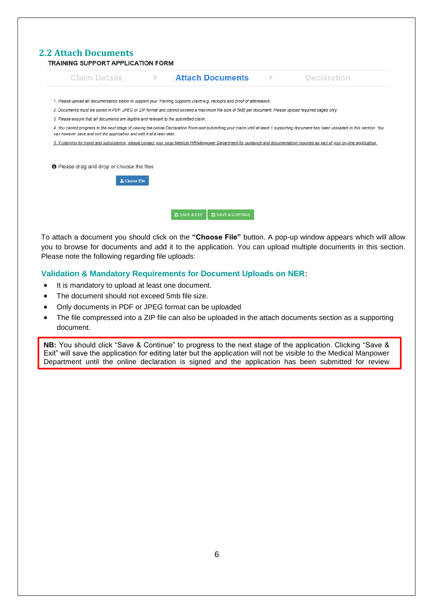<span id="page-5-0"></span>

| <b>Claim Details</b>                                                                 | $\mathbb{R}$ | <b>Attach Documents</b>                                                                                                                                                          | ь | <b>Declaration</b>                                                                                                                                                                    |
|--------------------------------------------------------------------------------------|--------------|----------------------------------------------------------------------------------------------------------------------------------------------------------------------------------|---|---------------------------------------------------------------------------------------------------------------------------------------------------------------------------------------|
|                                                                                      |              | 1. Please upload all documentation below to support your Training Supports claim e.g. receipts and proof of attendance.                                                          |   |                                                                                                                                                                                       |
|                                                                                      |              | 2. Documents must be saved in PDF, JPEG or ZIP format and cannot exceed a maximum file size of 5MB per document. Please upload required pages only.                              |   |                                                                                                                                                                                       |
| 3. Please ensure that all documents are legible and relevant to the submitted claim. |              |                                                                                                                                                                                  |   |                                                                                                                                                                                       |
| can however save and exit the application and edit it at a later date.               |              |                                                                                                                                                                                  |   | 4. You cannot progress to the next stage of viewing the online Declaration Form and submitting your claim until at least 1 supporting document has been uploaded in this section. You |
|                                                                                      |              |                                                                                                                                                                                  |   |                                                                                                                                                                                       |
|                                                                                      |              | 5. If claiming for travel and subsistence, please contact your local Medical HR/Manpower Department for guidance and documentation required as part of your on-line application. |   |                                                                                                                                                                                       |
|                                                                                      |              |                                                                                                                                                                                  |   |                                                                                                                                                                                       |
|                                                                                      |              |                                                                                                                                                                                  |   |                                                                                                                                                                                       |
|                                                                                      |              |                                                                                                                                                                                  |   |                                                                                                                                                                                       |
| <b>O</b> Please drag and drop or choose the files<br><b>1</b> Choose File            |              |                                                                                                                                                                                  |   |                                                                                                                                                                                       |

To attach a document you should click on the **"Choose File"** button. A pop-up window appears which will allow you to browse for documents and add it to the application. You can upload multiple documents in this section. Please note the following regarding file uploads:

#### **Validation & Mandatory Requirements for Document Uploads on NER:**

- It is mandatory to upload at least one document.
- The document should not exceed 5mb file size.
- Only documents in PDF or JPEG format can be uploaded
- The file compressed into a ZIP file can also be uploaded in the attach documents section as a supporting document.

**NB:** You should click "Save & Continue" to progress to the next stage of the application. Clicking "Save & Exit" will save the application for editing later but the application will not be visible to the Medical Manpower Department until the online declaration is signed and the application has been submitted for review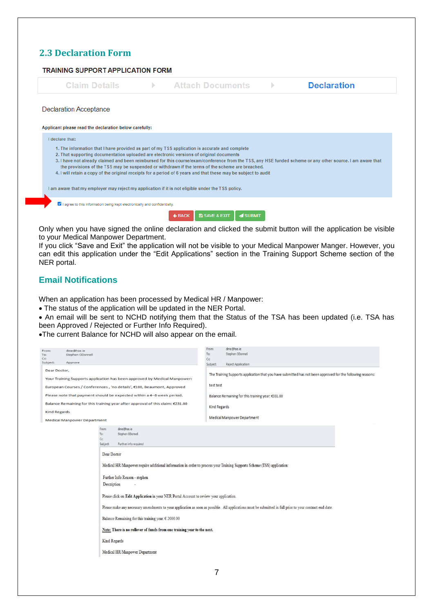#### **2.3 Declaration Form**

<span id="page-6-0"></span>

Only when you have signed the online declaration and clicked the submit button will the application be visible to your Medical Manpower Department.

If you click "Save and Exit" the application will not be visible to your Medical Manpower Manger. However, you can edit this application under the "Edit Applications" section in the Training Support Scheme section of the NER portal.

#### **Email Notifications**

When an application has been processed by Medical HR / Manpower:

The status of the application will be updated in the NER Portal.

 An email will be sent to NCHD notifying them that the Status of the TSA has been updated (i.e. TSA has been Approved / Rejected or Further Info Required).

The current Balance for NCHD will also appear on the email.

|                                                                        |                                                                       |                                                                                                                         | From:          | dime@hse.ie                                                                                                                                               |  |
|------------------------------------------------------------------------|-----------------------------------------------------------------------|-------------------------------------------------------------------------------------------------------------------------|----------------|-----------------------------------------------------------------------------------------------------------------------------------------------------------|--|
| From:                                                                  | dime@hse.ie                                                           |                                                                                                                         | To:            | Stephen ODonnell                                                                                                                                          |  |
| To:<br>$\mathsf{C}\mathbf{C}$                                          | Stephen ODonnell                                                      |                                                                                                                         |                |                                                                                                                                                           |  |
| Subject:                                                               | Approve                                                               |                                                                                                                         | cc<br>Subject: | Reject Application                                                                                                                                        |  |
|                                                                        |                                                                       |                                                                                                                         |                |                                                                                                                                                           |  |
| Dear Doctor,                                                           |                                                                       |                                                                                                                         |                | The Training Supports application that you have submitted has not been approved for the following reasons:                                                |  |
|                                                                        |                                                                       | Your Training Supports application has been approved by Medical Manpower:                                               |                |                                                                                                                                                           |  |
|                                                                        |                                                                       |                                                                                                                         | test test      |                                                                                                                                                           |  |
| European Courses / Conferences, 'no details', €100, Beaumont, Approved |                                                                       |                                                                                                                         |                |                                                                                                                                                           |  |
|                                                                        | Please note that payment should be expected within a 4-6 week period. |                                                                                                                         |                | Balance Remaining for this training year: €331.00                                                                                                         |  |
|                                                                        |                                                                       | Balance Remaining for this training year after approval of this claim: €231.00                                          |                |                                                                                                                                                           |  |
|                                                                        |                                                                       |                                                                                                                         | Kind Regards   |                                                                                                                                                           |  |
| <b>Kind Regards</b>                                                    |                                                                       |                                                                                                                         |                |                                                                                                                                                           |  |
|                                                                        | <b>Medical Manpower Department</b>                                    |                                                                                                                         |                | <b>Medical Manpower Department</b>                                                                                                                        |  |
|                                                                        |                                                                       |                                                                                                                         |                |                                                                                                                                                           |  |
|                                                                        |                                                                       | dime@hse.ie<br>From:                                                                                                    |                |                                                                                                                                                           |  |
|                                                                        |                                                                       | Stephen ODonnell<br>To:                                                                                                 |                |                                                                                                                                                           |  |
|                                                                        |                                                                       | cc<br>Further info required<br>Subject:                                                                                 |                |                                                                                                                                                           |  |
|                                                                        |                                                                       |                                                                                                                         |                |                                                                                                                                                           |  |
|                                                                        |                                                                       | Dear Doctor                                                                                                             |                |                                                                                                                                                           |  |
|                                                                        |                                                                       |                                                                                                                         |                |                                                                                                                                                           |  |
|                                                                        |                                                                       | Medical HR/Manpower require additional information in order to process your Training Supports Scheme (TSS) application: |                |                                                                                                                                                           |  |
|                                                                        |                                                                       |                                                                                                                         |                |                                                                                                                                                           |  |
|                                                                        |                                                                       | Further Info Reason - stephen                                                                                           |                |                                                                                                                                                           |  |
|                                                                        |                                                                       |                                                                                                                         |                |                                                                                                                                                           |  |
|                                                                        |                                                                       | Description                                                                                                             |                |                                                                                                                                                           |  |
|                                                                        |                                                                       |                                                                                                                         |                |                                                                                                                                                           |  |
|                                                                        |                                                                       | Please click on Edit Application in your NER Portal Account to review your application.                                 |                |                                                                                                                                                           |  |
|                                                                        |                                                                       |                                                                                                                         |                |                                                                                                                                                           |  |
|                                                                        |                                                                       |                                                                                                                         |                | Please make any necessary amendments to your application as soon as possible. All applications must be submitted in full prior to your contract end date. |  |
|                                                                        |                                                                       | Balance Remaining for this training year: $\in$ 2000.00                                                                 |                |                                                                                                                                                           |  |
|                                                                        |                                                                       |                                                                                                                         |                |                                                                                                                                                           |  |
|                                                                        |                                                                       | Note: There is no rollover of funds from one training year to the next.                                                 |                |                                                                                                                                                           |  |
|                                                                        |                                                                       |                                                                                                                         |                |                                                                                                                                                           |  |
|                                                                        |                                                                       | Kind Regards                                                                                                            |                |                                                                                                                                                           |  |
|                                                                        |                                                                       |                                                                                                                         |                |                                                                                                                                                           |  |
|                                                                        |                                                                       | Medical HR/Manpower Department                                                                                          |                |                                                                                                                                                           |  |
|                                                                        |                                                                       |                                                                                                                         |                |                                                                                                                                                           |  |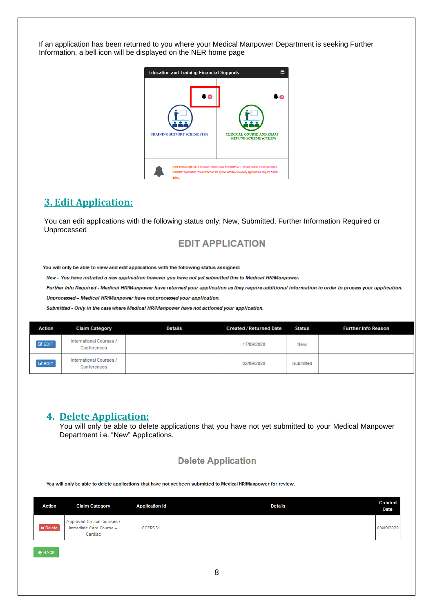If an application has been returned to you where your Medical Manpower Department is seeking Further Information, a bell icon will be displayed on the NER home page



#### <span id="page-7-0"></span>**3. Edit Application:**

You can edit applications with the following status only: New, Submitted, Further Information Required or Unprocessed

#### **EDIT APPLICATION**

You will only be able to view and edit applications with the following status assigned:

New - You have initiated a new application however you have not yet submitted this to Medical HR/Manpower.

Further Info Required - Medical HR/Manpower have returned your application as they require additional information in order to process your application.

Unprocessed - Medical HR/Manpower have not processed your application.

Submitted - Only in the case where Medical HR/Manpower have not actioned your application.

| Action        | <b>Claim Category</b>                  | <b>Details</b> | <b>Created / Returned Date</b> | <b>Status</b> | <b>Further Info Reason</b> |
|---------------|----------------------------------------|----------------|--------------------------------|---------------|----------------------------|
| <b>E</b> EDIT | International Courses /<br>Conferences |                | 17/09/2020                     | New           |                            |
| <b>C</b> EDIT | International Courses /<br>Conferences |                | 02/09/2020                     | Submitted     |                            |

#### <span id="page-7-1"></span>**4. Delete Application:**

You will only be able to delete applications that you have not yet submitted to your Medical Manpower Department i.e. "New" Applications.

#### **Delete Application**

You will only be able to delete applications that have not yet been submitted to Medical HR/Manpower for review.

| <b>Action</b>   | <b>Claim Category</b>                                             | <b>Application Id</b> | <b>Details</b> | <b>Created</b><br><b>Date</b> |
|-----------------|-------------------------------------------------------------------|-----------------------|----------------|-------------------------------|
| <b>O</b> Delete | Approved Clinical Courses /<br>Immediate Care Course -<br>Cardiac | CCERS31               |                | 03/09/2020                    |

 $\leftarrow$  BACK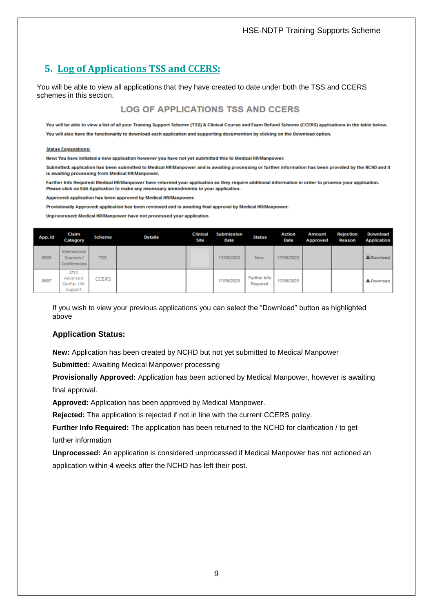#### HSE-NDTP Training Supports Scheme

## <span id="page-8-0"></span>**5. Log of Applications TSS and CCERS:**

You will be able to view all applications that they have created to date under both the TSS and CCERS schemes in this section.

#### **LOG OF APPLICATIONS TSS AND CCERS**

You will be able to view a list of all your Training Support Scheme (TSS) & Clinical Course and Exam Refund Scheme (CCERS) applications in the table below.

#### **Status Explanations:**

New: You have initiated a new application however you have not yet submitted this to Medical HR/Manpower.

Submitted: application has been submitted to Medical HR/Manpower and is awaiting processing or further information has been provided by the NCHD and it is awaiting processing from Medical HR/Manpower.

Further Info Required: Medical HR/Manpower have returned your application as they require additional information in order to process your application. Please click on Edit Application to make any necessary amendments to your application.

Approved: application has been approved by Medical HR/Manpower.

Provisionally Approved: application has been reviewed and is awaiting final approval by Medical HR/Manpower.

Unprocessed: Medical HR/Manpower have not processed your application.

| App. Id | Claim<br>Category                                   | Scheme     | <b>Details</b> | <b>Clinical</b><br>Site | <b>Submission</b><br>Date | <b>Status</b>            | <b>Action</b><br><b>Date</b> | <b>Amount</b><br>Approved | <b>Rejection</b><br>Reason | Download<br><b>Application</b> |
|---------|-----------------------------------------------------|------------|----------------|-------------------------|---------------------------|--------------------------|------------------------------|---------------------------|----------------------------|--------------------------------|
| 8688    | International<br>Courses /<br>Conferences           | <b>TSS</b> |                |                         | 17/09/2020                | <b>New</b>               | 17/09/2020                   |                           |                            | & Download                     |
| 8687    | <b>ATLS</b><br>Advance d<br>Cardiac Life<br>Support | CCERS      |                |                         | 17/09/2020                | Further Info<br>Required | 17/09/2020                   |                           |                            | & Download                     |

If you wish to view your previous applications you can select the "Download" button as highlighted above

#### **Application Status:**

**New:** Application has been created by NCHD but not yet submitted to Medical Manpower

**Submitted:** Awaiting Medical Manpower processing

**Provisionally Approved:** Application has been actioned by Medical Manpower, however is awaiting final approval.

**Approved:** Application has been approved by Medical Manpower.

**Rejected:** The application is rejected if not in line with the current CCERS policy.

**Further Info Required:** The application has been returned to the NCHD for clarification / to get further information

**Unprocessed:** An application is considered unprocessed if Medical Manpower has not actioned an application within 4 weeks after the NCHD has left their post.